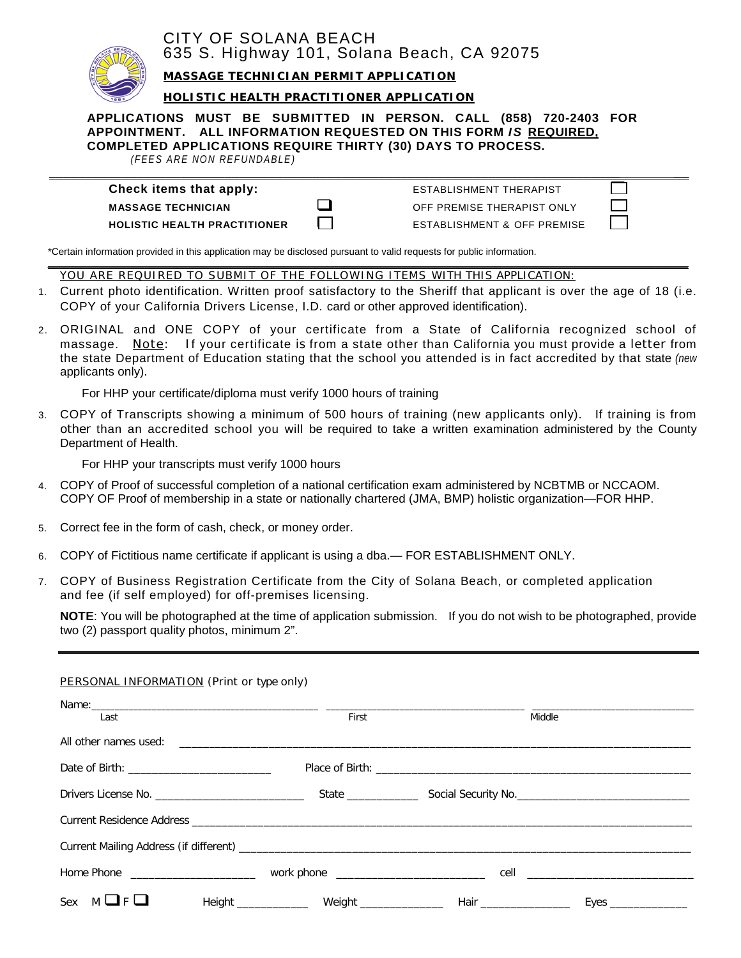

# CITY OF SOLANA BEACH 635 S. Highway 101, Solana Beach, CA 92075

**MASSAGE TECHNICIAN PERMIT APPLICATION**

#### **HOLISTIC HEALTH PRACTITIONER APPLICATION**

### **APPLICATIONS MUST BE SUBMITTED IN PERSON. CALL (858) 720-2403 FOR APPOINTMENT. ALL INFORMATION REQUESTED ON THIS FORM** *IS* **REQUIRED, COMPLETED APPLICATIONS REQUIRE THIRTY (30) DAYS TO PROCESS.**

**\_\_\_\_\_\_\_\_\_\_\_\_\_\_\_\_\_\_\_\_\_\_\_\_\_\_\_\_\_\_\_\_\_\_\_\_\_\_\_\_\_\_\_\_\_\_\_\_\_\_\_\_\_\_\_\_\_\_\_\_\_\_\_\_\_\_\_\_\_\_\_\_\_\_\_\_\_\_ \_\_**

*(FEES ARE NON REFUNDABLE)* 

## **Check items that apply: ESTABLISHMENT THERAPIST**

**MASSAGE TECHNICIAN OFF PREMISE THERAPIST ONLY HOLISTIC HEALTH PRACTITIONER** ESTABLISHMENT & OFF PREMISE

\*Certain information provided in this application may be disclosed pursuant to valid requests for public information.

\_\_\_\_\_\_\_\_\_\_\_\_\_\_\_\_\_\_\_\_\_\_\_\_\_\_\_\_\_\_\_\_\_\_\_\_\_\_\_\_\_\_\_\_\_\_\_\_\_\_\_\_\_\_\_\_\_\_\_\_\_\_\_\_\_\_\_\_\_\_\_\_\_\_\_\_\_\_\_\_\_\_\_\_\_\_\_\_\_\_\_\_\_\_\_\_\_\_\_\_\_\_\_\_\_\_\_\_\_\_\_\_\_\_\_\_\_\_\_ *YOU ARE REQUIRED TO SUBMIT OF THE FOLLOWING ITEMS WITH THIS APPLICATION:*

- 1. Current photo identification. Written proof satisfactory to the Sheriff that applicant is over the age of 18 (i.e. COPY of your California Drivers License, I.D. card or other approved identification).
- 2. ORIGINAL and ONE COPY of your certificate from a State of California recognized school of massage. Note: If your certificate is from a state other than California you must provide a letter from the state Department of Education stating that the school you attended is in fact accredited by that state *(new*  applicants only).

For HHP your certificate/diploma must verify 1000 hours of training

3. COPY of Transcripts showing a minimum of 500 hours of training (new applicants only). If training is from other than an accredited school you will be required to take a written examination administered by the County Department of Health.

For HHP your transcripts must verify 1000 hours

- 4. COPY of Proof of successful completion of a national certification exam administered by NCBTMB or NCCAOM. COPY OF Proof of membership in a state or nationally chartered (JMA, BMP) holistic organization—FOR HHP.
- 5. Correct fee in the form of cash, check, or money order.
- 6. COPY of Fictitious name certificate if applicant is using a dba.— FOR ESTABLISHMENT ONLY.
- 7. COPY of Business Registration Certificate from the City of Solana Beach, or completed application and fee (if self employed) for off-premises licensing.

**NOTE**: You will be photographed at the time of application submission. If you do not wish to be photographed, provide two (2) passport quality photos, minimum 2".

### *PERSONAL INFORMATION (Print or* type *only)*

| Last                       | First |                         | Middle                                                                            |
|----------------------------|-------|-------------------------|-----------------------------------------------------------------------------------|
|                            |       |                         |                                                                                   |
|                            |       |                         |                                                                                   |
|                            |       |                         | State ________________________Social Security No. _______________________________ |
|                            |       |                         |                                                                                   |
|                            |       |                         |                                                                                   |
|                            |       |                         |                                                                                   |
| Sex<br>$M \sqcup F \sqcup$ |       | Hair __________________ |                                                                                   |